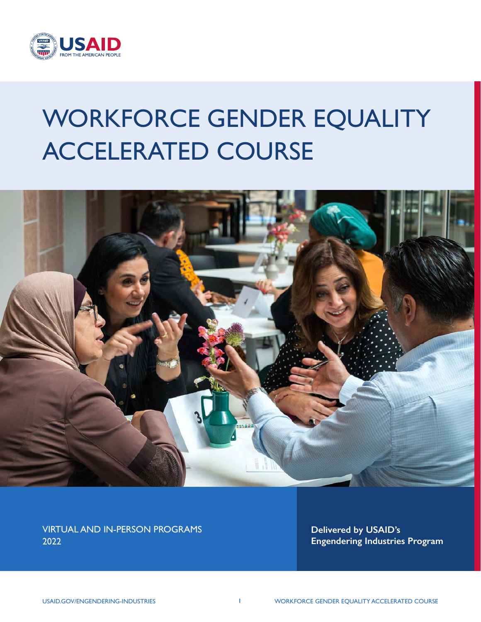

# WORKFORCE GENDER EQUALITY ACCELERATED COURSE



VIRTUAL AND IN-PERSON PROGRAMS 2022

**Delivered by USAID's Engendering Industries Program**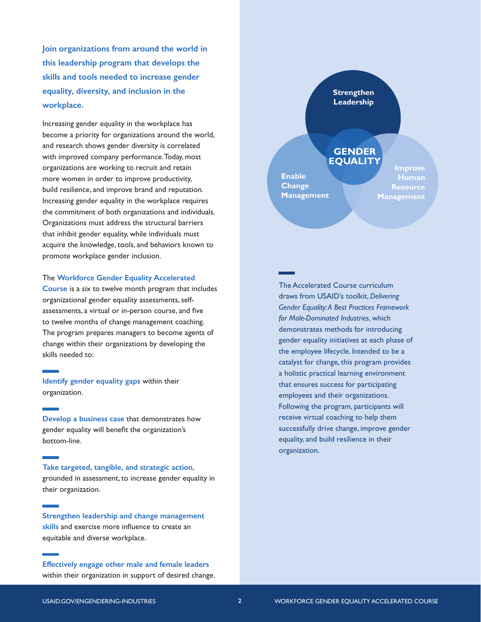**Join organizations from around the world in this leadership program that develops the skills and tools needed to increase gender equality, diversity, and inclusion in the workplace.** 

Increasing gender equality in the workplace has become a priority for organizations around the world, and research shows gender diversity is correlated with improved company performance. Today, most organizations are working to recruit and retain more women in order to improve productivity, build resilience, and improve brand and reputation. Increasing gender equality in the workplace requires the commitment of both organizations and individuals. Organizations must address the structural barriers that inhibit gender equality, while individuals must acquire the knowledge, tools, and behaviors known to promote workplace gender inclusion.

#### The **Workforce Gender Equality Accelerated**

**Course** is a six to twelve month program that includes organizational gender equality assessments, selfassessments, a virtual or in-person course, and five to twelve months of change management coaching. The program prepares managers to become agents of change within their organizations by developing the skills needed to:

**Identify gender equality gaps** within their organization.

**Develop a business case** that demonstrates how gender equality will benefit the organization's bottom-line.

**Take targeted, tangible, and strategic action**, grounded in assessment, to increase gender equality in their organization.

**Strengthen leadership and change management skills** and exercise more influence to create an equitable and diverse workplace.

**Effectively engage other male and female leaders** within their organization in support of desired change.



The Accelerated Course curriculum draws from USAID's toolkit, *[Delivering](https://www.usaid.gov/engendering-industries/gender-equality-best-practices-framework)  [Gender Equality: A Best Practices Framework](https://www.usaid.gov/engendering-industries/gender-equality-best-practices-framework)  [for Male-Dominated Industries](https://www.usaid.gov/engendering-industries/gender-equality-best-practices-framework)*, which demonstrates methods for introducing gender equality initiatives at each phase of the employee lifecycle. Intended to be a catalyst for change, this program provides a holistic practical learning environment that ensures success for participating employees and their organizations. Following the program, participants will receive virtual coaching to help them successfully drive change, improve gender equality, and build resilience in their organization.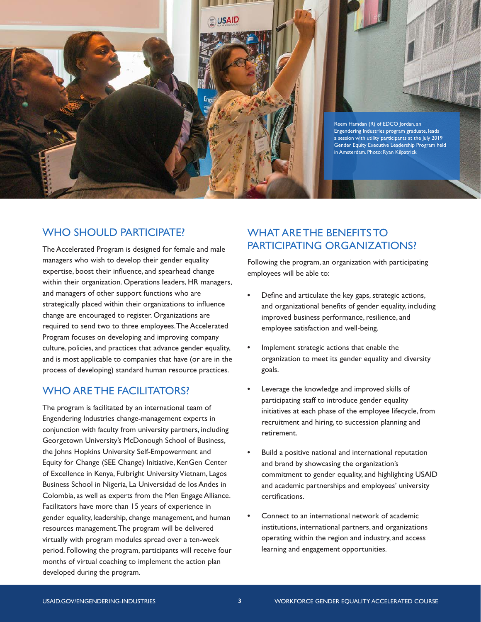

#### WHO SHOULD PARTICIPATE?

The Accelerated Program is designed for female and male managers who wish to develop their gender equality expertise, boost their influence, and spearhead change within their organization. Operations leaders, HR managers, and managers of other support functions who are strategically placed within their organizations to influence change are encouraged to register. Organizations are required to send two to three employees. The Accelerated Program focuses on developing and improving company culture, policies, and practices that advance gender equality, and is most applicable to companies that have (or are in the process of developing) standard human resource practices.

#### WHO ARE THE FACILITATORS?

The program is facilitated by an international team of Engendering Industries change-management experts in conjunction with faculty from university partners, including Georgetown University's McDonough School of Business, the Johns Hopkins University Self-Empowerment and Equity for Change (SEE Change) Initiative, KenGen Center of Excellence in Kenya, Fulbright University Vietnam, Lagos Business School in Nigeria, La Universidad de los Andes in Colombia, as well as experts from the Men Engage Alliance. Facilitators have more than 15 years of experience in gender equality, leadership, change management, and human resources management. The program will be delivered virtually with program modules spread over a ten-week period. Following the program, participants will receive four months of virtual coaching to implement the action plan developed during the program.

#### WHAT ARE THE BENEFITS TO PARTICIPATING ORGANIZATIONS?

Following the program, an organization with participating employees will be able to:

- **•** Define and articulate the key gaps, strategic actions, and organizational benefits of gender equality, including improved business performance, resilience, and employee satisfaction and well-being.
- **•** Implement strategic actions that enable the organization to meet its gender equality and diversity goals.
- **•** Leverage the knowledge and improved skills of participating staff to introduce gender equality initiatives at each phase of the employee lifecycle, from recruitment and hiring, to succession planning and retirement.
- **•** Build a positive national and international reputation and brand by showcasing the organization's commitment to gender equality, and highlighting USAID and academic partnerships and employees' university certifications.
- **•** Connect to an international network of academic institutions, international partners, and organizations operating within the region and industry, and access learning and engagement opportunities.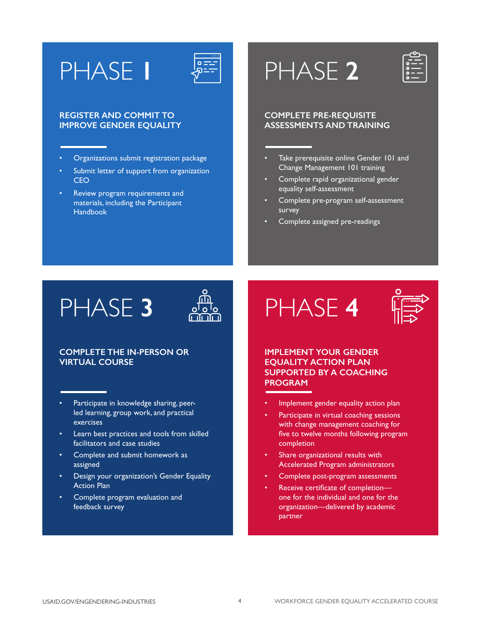# PHASE **1**



#### **REGISTER AND COMMIT TO IMPROVE GENDER EQUALITY**

- Organizations submit registration package
- Submit letter of support from organization **CEO**
- Review program requirements and materials, including the Participant **Handbook**

# PHASE **2**



#### **COMPLETE PRE-REQUISITE ASSESSMENTS AND TRAINING**

- Take prerequisite online Gender 101 and Change Management 101 training
- Complete rapid organizational gender equality self-assessment
- Complete pre-program self-assessment survey
- Complete assigned pre-readings



#### **COMPLETE THE IN-PERSON OR VIRTUAL COURSE**

- Participate in knowledge sharing, peerled learning, group work, and practical exercises
- Learn best practices and tools from skilled facilitators and case studies
- Complete and submit homework as assigned
- Design your organization's Gender Equality Action Plan
- Complete program evaluation and feedback survey





#### **IMPLEMENT YOUR GENDER EQUALITY ACTION PLAN SUPPORTED BY A COACHING PROGRAM**

- Implement gender equality action plan
- Participate in virtual coaching sessions with change management coaching for five to twelve months following program completion
- Share organizational results with Accelerated Program administrators
- Complete post-program assessments
- Receive certificate of completion one for the individual and one for the organization—delivered by academic partner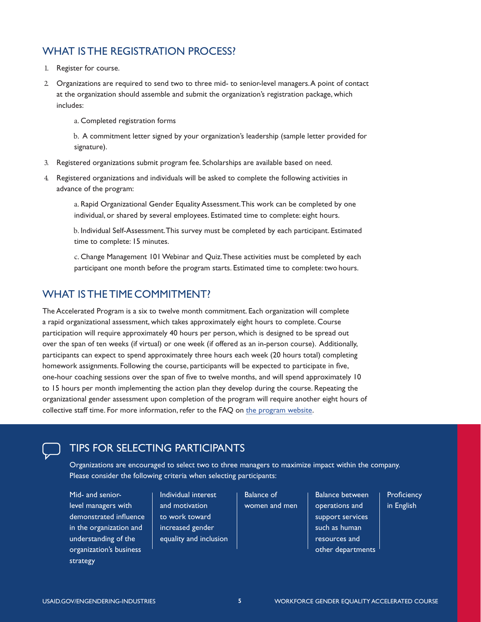#### WHAT IS THE REGISTRATION PROCESS?

- 1. Register for course.
- 2. Organizations are required to send two to three mid- to senior-level managers. A point of contact at the organization should assemble and submit the organization's registration package, which includes:

a. Completed registration forms

b. A commitment letter signed by your organization's leadership (sample letter provided for signature).

- 3. Registered organizations submit program fee. Scholarships are available based on need.
- 4. Registered organizations and individuals will be asked to complete the following activities in advance of the program:

a. Rapid Organizational Gender Equality Assessment. This work can be completed by one individual, or shared by several employees. Estimated time to complete: eight hours.

b. Individual Self-Assessment. This survey must be completed by each participant. Estimated time to complete: 15 minutes.

c. Change Management 101 Webinar and Quiz. These activities must be completed by each participant one month before the program starts. Estimated time to complete: two hours.

#### WHAT IS THE TIME COMMITMENT?

The Accelerated Program is a six to twelve month commitment. Each organization will complete a rapid organizational assessment, which takes approximately eight hours to complete. Course participation will require approximately 40 hours per person, which is designed to be spread out over the span of ten weeks (if virtual) or one week (if offered as an in-person course). Additionally, participants can expect to spend approximately three hours each week (20 hours total) completing homework assignments. Following the course, participants will be expected to participate in five, one-hour coaching sessions over the span of five to twelve months, and will spend approximately 10 to 15 hours per month implementing the action plan they develop during the course. Repeating the organizational gender assessment upon completion of the program will require another eight hours of collective staff time. For more information, refer to the FAQ on [the program website](https://www.usaid.gov/engendering-industries/).



#### TIPS FOR SELECTING PARTICIPANTS

Organizations are encouraged to select two to three managers to maximize impact within the company. Please consider the following criteria when selecting participants:

Mid- and seniorlevel managers with demonstrated influence in the organization and understanding of the organization's business strategy

Individual interest and motivation to work toward increased gender equality and inclusion Balance of women and men

Balance between operations and support services such as human resources and other departments **Proficiency** in English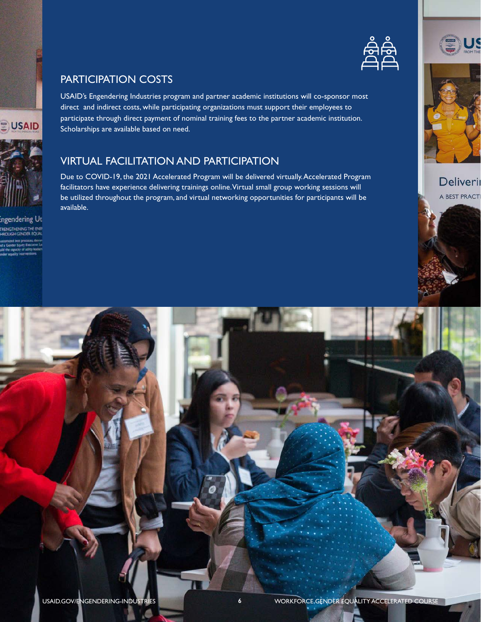

#### PARTICIPATION COSTS

USAID's Engendering Industries program and partner academic institutions will co-sponsor most direct and indirect costs, while participating organizations must support their employees to participate through direct payment of nominal training fees to the partner academic institution. Scholarships are available based on need.

### VIRTUAL FACILITATION AND PARTICIPATION

Due to COVID-19, the 2021 Accelerated Program will be delivered virtually. Accelerated Program facilitators have experience delivering trainings online. Virtual small group working sessions will be utilized throughout the program, and virtual networking opportunities for participants will be available.







### **Deliverii** A BEST PRACTI





**USAID** 

# ingendering Uti TRENGTHENING THE ENE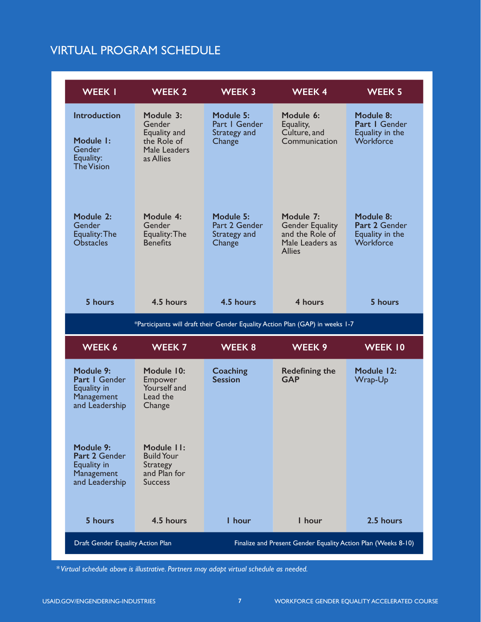## VIRTUAL PROGRAM SCHEDULE

| <b>WEEK I</b>                                                                | WEEK 2                                                                          | <b>WEEK 3</b>                                                 | <b>WEEK4</b>                                                                               | <b>WEEK 5</b>                                              |  |  |
|------------------------------------------------------------------------------|---------------------------------------------------------------------------------|---------------------------------------------------------------|--------------------------------------------------------------------------------------------|------------------------------------------------------------|--|--|
| <b>Introduction</b><br>Module 1:<br>Gender<br>Equality:<br><b>The Vision</b> | Module 3:<br>Gender<br>Equality and<br>the Role of<br>Male Leaders<br>as Allies | Module 5:<br>Part I Gender<br>Strategy and<br>Change          | Module 6:<br>Equality,<br>Culture, and<br>Communication                                    | Module 8:<br>Part I Gender<br>Equality in the<br>Workforce |  |  |
| Module 2:<br>Gender<br>Equality: The<br><b>Obstacles</b>                     | Module 4:<br>Gender<br>Equality: The<br><b>Benefits</b>                         | Module 5:<br>Part 2 Gender<br>Strategy and<br>Change          | Module 7:<br><b>Gender Equality</b><br>and the Role of<br>Male Leaders as<br><b>Allies</b> | Module 8:<br>Part 2 Gender<br>Equality in the<br>Workforce |  |  |
| 5 hours                                                                      | 4.5 hours                                                                       | 4.5 hours                                                     | 4 hours                                                                                    | 5 hours                                                    |  |  |
|                                                                              | *Participants will draft their Gender Equality Action Plan (GAP) in weeks 1-7   |                                                               |                                                                                            |                                                            |  |  |
| WEEK 6                                                                       | <b>WEEK 7</b>                                                                   | WEEK 8                                                        | WEEK 9                                                                                     | <b>WEEK 10</b>                                             |  |  |
| Module 9:<br>Part I Gender<br>Equality in<br>Management<br>and Leadership    | Module 10:<br>Empower<br>Yourself and<br>Lead the<br>Change                     | Coaching<br><b>Session</b>                                    | <b>Redefining the</b><br><b>GAP</b>                                                        | Module 12:<br>Wrap-Up                                      |  |  |
| Module 9:<br>Part 2 Gender<br>Equality in<br>Management<br>and Leadership    | Module II:<br><b>Build Your</b><br>Strategy<br>and Plan for<br><b>Success</b>   |                                                               |                                                                                            |                                                            |  |  |
| 5 hours                                                                      | 4.5 hours                                                                       | I hour                                                        | I hour                                                                                     | 2.5 hours                                                  |  |  |
| Draft Gender Equality Action Plan                                            |                                                                                 | Finalize and Present Gender Equality Action Plan (Weeks 8-10) |                                                                                            |                                                            |  |  |

*\* Virtual schedule above is illustrative. Partners may adapt virtual schedule as needed.*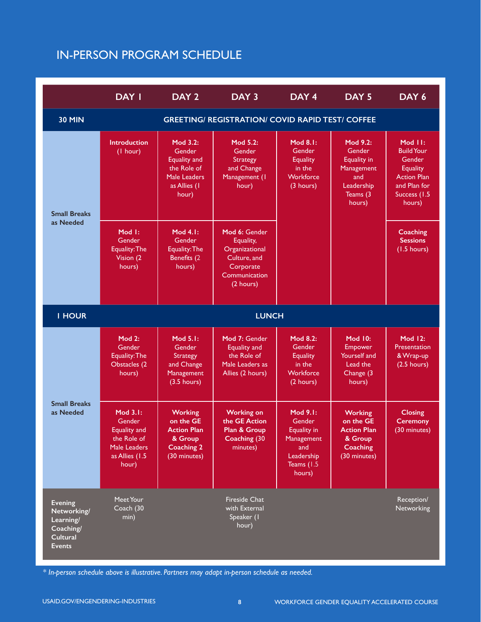## IN-PERSON PROGRAM SCHEDULE

|                                                                                             | <b>DAY I</b>                                                                                               | DAY <sub>2</sub>                                                                                         | DAY 3                                                                                                   | DAY <sub>4</sub>                                                                                     | DAY <sub>5</sub>                                                                                   | DAY 6                                                                                                                      |
|---------------------------------------------------------------------------------------------|------------------------------------------------------------------------------------------------------------|----------------------------------------------------------------------------------------------------------|---------------------------------------------------------------------------------------------------------|------------------------------------------------------------------------------------------------------|----------------------------------------------------------------------------------------------------|----------------------------------------------------------------------------------------------------------------------------|
| <b>30 MIN</b>                                                                               |                                                                                                            |                                                                                                          | <b>GREETING/ REGISTRATION/ COVID RAPID TEST/ COFFEE</b>                                                 |                                                                                                      |                                                                                                    |                                                                                                                            |
| <b>Small Breaks</b><br>as Needed                                                            | <b>Introduction</b><br>(1 hour)                                                                            | Mod 3.2:<br>Gender<br><b>Equality and</b><br>the Role of<br><b>Male Leaders</b><br>as Allies (1<br>hour) | Mod 5.2:<br>Gender<br><b>Strategy</b><br>and Change<br>Management (I<br>hour)                           | Mod 8.1:<br>Gender<br><b>Equality</b><br>in the<br>Workforce<br>(3 hours)                            | Mod 9.2:<br>Gender<br><b>Equality in</b><br>Management<br>and<br>Leadership<br>Teams (3)<br>hours) | Mod II:<br><b>Build Your</b><br>Gender<br><b>Equality</b><br><b>Action Plan</b><br>and Plan for<br>Success (1.5)<br>hours) |
|                                                                                             | Mod 1:<br>Gender<br>Equality: The<br>Vision (2)<br>hours)                                                  | Mod 4.1:<br>Gender<br>Equality: The<br>Benefits (2<br>hours)                                             | Mod 6: Gender<br>Equality,<br>Organizational<br>Culture, and<br>Corporate<br>Communication<br>(2 hours) |                                                                                                      |                                                                                                    | Coaching<br><b>Sessions</b><br>$(1.5 \text{ hours})$                                                                       |
| <b>I HOUR</b>                                                                               | <b>LUNCH</b>                                                                                               |                                                                                                          |                                                                                                         |                                                                                                      |                                                                                                    |                                                                                                                            |
|                                                                                             | Mod 2:<br>Gender<br>Equality: The<br>Obstacles (2<br>hours)                                                | Mod 5.1:<br>Gender<br><b>Strategy</b><br>and Change<br>Management<br>$(3.5 \text{ hours})$               | Mod 7: Gender<br><b>Equality and</b><br>the Role of<br>Male Leaders as<br>Allies (2 hours)              | Mod 8.2:<br>Gender<br><b>Equality</b><br>in the<br>Workforce<br>(2 hours)                            | <b>Mod 10:</b><br><b>Empower</b><br><b>Yourself</b> and<br>Lead the<br>Change (3<br>hours)         | <b>Mod 12:</b><br>Presentation<br>& Wrap-up<br>$(2.5$ hours)                                                               |
| <b>Small Breaks</b><br>as Needed                                                            | Mod 3.1:<br>Gender<br><b>Equality and</b><br>the Role of<br><b>Male Leaders</b><br>as Allies (1.5<br>hour) | <b>Working</b><br>on the GE<br><b>Action Plan</b><br>& Group<br><b>Coaching 2</b><br>(30 minutes)        | <b>Working on</b><br>the GE Action<br>Plan & Group<br>Coaching (30<br>minutes)                          | Mod 9.1:<br>Gender<br><b>Equality in</b><br>Management<br>and<br>Leadership<br>Teams (1.5)<br>hours) | Working<br>on the GE<br>Action Plan<br>& Group<br><b>Coaching</b><br>(30 minutes)                  | <b>Closing</b><br><b>Ceremony</b><br>$(30 \text{ minutes})$                                                                |
| <b>Evening</b><br>Networking/<br>Learning/<br>Coaching/<br><b>Cultural</b><br><b>Events</b> | Meet Your<br>Coach (30<br>min)                                                                             |                                                                                                          | <b>Fireside Chat</b><br>with External<br>Speaker (I<br>hour)                                            |                                                                                                      |                                                                                                    | Reception/<br>Networking                                                                                                   |

*\* In-person schedule above is illustrative. Partners may adapt in-person schedule as needed.*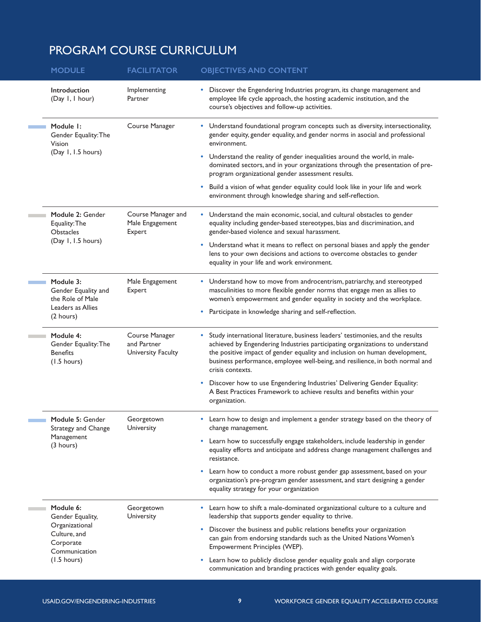# PROGRAM COURSE CURRICULUM

| <b>MODULE</b>                                                                                 | <b>FACILITATOR</b>                                  | <b>OBJECTIVES AND CONTENT</b>                                                                                                                                                                                                                                                                                                                                                                                                                                                      |
|-----------------------------------------------------------------------------------------------|-----------------------------------------------------|------------------------------------------------------------------------------------------------------------------------------------------------------------------------------------------------------------------------------------------------------------------------------------------------------------------------------------------------------------------------------------------------------------------------------------------------------------------------------------|
| Introduction<br>(Day 1, 1 hour)                                                               | Implementing<br>Partner                             | Discover the Engendering Industries program, its change management and<br>employee life cycle approach, the hosting academic institution, and the<br>course's objectives and follow-up activities.                                                                                                                                                                                                                                                                                 |
| Module I:<br>Gender Equality: The<br>Vision<br>(Day 1, 1.5 hours)                             | Course Manager                                      | • Understand foundational program concepts such as diversity, intersectionality,<br>gender equity, gender equality, and gender norms in asocial and professional<br>environment.<br>Understand the reality of gender inequalities around the world, in male-<br>dominated sectors, and in your organizations through the presentation of pre-<br>program organizational gender assessment results.<br>Build a vision of what gender equality could look like in your life and work |
|                                                                                               |                                                     | environment through knowledge sharing and self-reflection.                                                                                                                                                                                                                                                                                                                                                                                                                         |
| Module 2: Gender<br>Equality: The<br>Obstacles<br>(Day 1, 1.5 hours)                          | Course Manager and<br>Male Engagement<br>Expert     | • Understand the main economic, social, and cultural obstacles to gender<br>equality including gender-based stereotypes, bias and discrimination, and<br>gender-based violence and sexual harassment.<br>Understand what it means to reflect on personal biases and apply the gender<br>٠<br>lens to your own decisions and actions to overcome obstacles to gender<br>equality in your life and work environment.                                                                 |
| Module 3:<br>Gender Equality and<br>the Role of Male<br>Leaders as Allies<br>(2 hours)        | Male Engagement<br>Expert                           | • Understand how to move from androcentrism, patriarchy, and stereotyped<br>masculinities to more flexible gender norms that engage men as allies to<br>women's empowerment and gender equality in society and the workplace.<br>Participate in knowledge sharing and self-reflection.                                                                                                                                                                                             |
| Module 4:<br>Gender Equality: The<br><b>Benefits</b><br>$(1.5 \text{ hours})$                 | Course Manager<br>and Partner<br>University Faculty | Study international literature, business leaders' testimonies, and the results<br>achieved by Engendering Industries participating organizations to understand<br>the positive impact of gender equality and inclusion on human development,<br>business performance, employee well-being, and resilience, in both normal and<br>crisis contexts.                                                                                                                                  |
|                                                                                               |                                                     | Discover how to use Engendering Industries' Delivering Gender Equality:<br>A Best Practices Framework to achieve results and benefits within your<br>organization.                                                                                                                                                                                                                                                                                                                 |
| Module 5: Gender<br>Strategy and Change                                                       | Georgetown<br>University                            | Learn how to design and implement a gender strategy based on the theory of<br>change management.                                                                                                                                                                                                                                                                                                                                                                                   |
| Management<br>$(3 \text{ hours})$                                                             |                                                     | Learn how to successfully engage stakeholders, include leadership in gender<br>equality efforts and anticipate and address change management challenges and<br>resistance.                                                                                                                                                                                                                                                                                                         |
|                                                                                               |                                                     | Learn how to conduct a more robust gender gap assessment, based on your<br>organization's pre-program gender assessment, and start designing a gender<br>equality strategy for your organization                                                                                                                                                                                                                                                                                   |
| Module 6:<br>Gender Equality,<br>Organizational<br>Culture, and<br>Corporate<br>Communication | Georgetown<br>University                            | Learn how to shift a male-dominated organizational culture to a culture and<br>leadership that supports gender equality to thrive.                                                                                                                                                                                                                                                                                                                                                 |
|                                                                                               |                                                     | Discover the business and public relations benefits your organization<br>can gain from endorsing standards such as the United Nations Women's<br>Empowerment Principles (WEP).                                                                                                                                                                                                                                                                                                     |
| $(1.5 \text{ hours})$                                                                         |                                                     | Learn how to publicly disclose gender equality goals and align corporate<br>communication and branding practices with gender equality goals.                                                                                                                                                                                                                                                                                                                                       |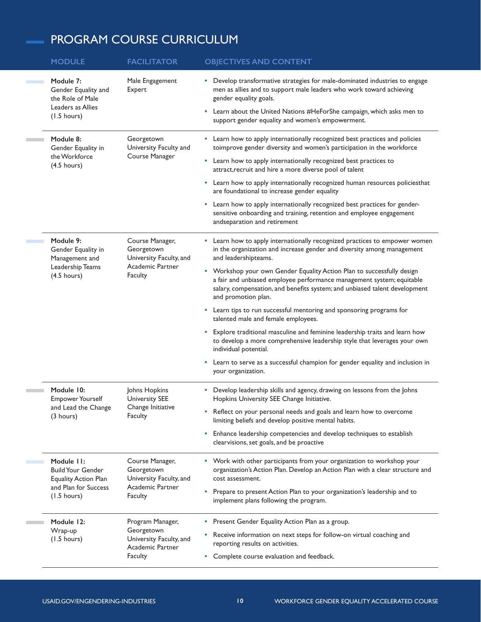## PROGRAM COURSE CURRICULUM

| <b>MODULE</b>                                                                                                          | <b>FACILITATOR</b>                                                                             | <b>OBJECTIVES AND CONTENT</b>                                                                                                                                                                                                                                                                                                                                                                                                                                                                                                                                                                                                                                                                                                                                                                                                                          |
|------------------------------------------------------------------------------------------------------------------------|------------------------------------------------------------------------------------------------|--------------------------------------------------------------------------------------------------------------------------------------------------------------------------------------------------------------------------------------------------------------------------------------------------------------------------------------------------------------------------------------------------------------------------------------------------------------------------------------------------------------------------------------------------------------------------------------------------------------------------------------------------------------------------------------------------------------------------------------------------------------------------------------------------------------------------------------------------------|
| Module 7:<br>Gender Equality and<br>the Role of Male<br>Leaders as Allies<br>$(1.5 \text{ hours})$                     | Male Engagement<br>Expert                                                                      | Develop transformative strategies for male-dominated industries to engage<br>٠<br>men as allies and to support male leaders who work toward achieving<br>gender equality goals.<br>Learn about the United Nations #HeForShe campaign, which asks men to<br>٠<br>support gender equality and women's empowerment.                                                                                                                                                                                                                                                                                                                                                                                                                                                                                                                                       |
| Module 8:<br>Gender Equality in<br>the Workforce<br>$(4.5 \text{ hours})$                                              | Georgetown<br>University Faculty and<br>Course Manager                                         | • Learn how to apply internationally recognized best practices and policies<br>toimprove gender diversity and women's participation in the workforce<br>Learn how to apply internationally recognized best practices to<br>٠<br>attract, recruit and hire a more diverse pool of talent<br>• Learn how to apply internationally recognized human resources policiesthat<br>are foundational to increase gender equality<br>Learn how to apply internationally recognized best practices for gender-<br>٠<br>sensitive onboarding and training, retention and employee engagement<br>andseparation and retirement                                                                                                                                                                                                                                       |
| Module 9:<br>Gender Equality in<br>Management and<br>Leadership Teams<br>$(4.5 \text{ hours})$                         | Course Manager,<br>Georgetown<br>University Faculty, and<br>Academic Partner<br>Faculty        | Learn how to apply internationally recognized practices to empower women<br>٠<br>in the organization and increase gender and diversity among management<br>and leadershipteams.<br>• Workshop your own Gender Equality Action Plan to successfully design<br>a fair and unbiased employee performance management system; equitable<br>salary, compensation, and benefits system; and unbiased talent development<br>and promotion plan.<br>• Learn tips to run successful mentoring and sponsoring programs for<br>talented male and female employees.<br>• Explore traditional masculine and feminine leadership traits and learn how<br>to develop a more comprehensive leadership style that leverages your own<br>individual potential.<br>Learn to serve as a successful champion for gender equality and inclusion in<br>٠<br>your organization. |
| Module 10:<br><b>Empower Yourself</b><br>and Lead the Change<br>$(3 \text{ hours})$                                    | Johns Hopkins<br><b>University SEE</b><br>Change Initiative<br><b>Faculty</b>                  | • Develop leadership skills and agency, drawing on lessons from the Johns<br>Hopkins University SEE Change Initiative.<br>• Reflect on your personal needs and goals and learn how to overcome<br>limiting beliefs and develop positive mental habits.<br>Enhance leadership competencies and develop techniques to establish<br>٠<br>clearvisions, set goals, and be proactive                                                                                                                                                                                                                                                                                                                                                                                                                                                                        |
| Module 11:<br><b>Build Your Gender</b><br><b>Equality Action Plan</b><br>and Plan for Success<br>$(1.5 \text{ hours})$ | Course Manager,<br>Georgetown<br>University Faculty, and<br>Academic Partner<br><b>Faculty</b> | • Work with other participants from your organization to workshop your<br>organization's Action Plan. Develop an Action Plan with a clear structure and<br>cost assessment.<br>Prepare to present Action Plan to your organization's leadership and to<br>٠<br>implement plans following the program.                                                                                                                                                                                                                                                                                                                                                                                                                                                                                                                                                  |
| Module 12:<br>Wrap-up<br>$(1.5 \text{ hours})$                                                                         | Program Manager,<br>Georgetown<br>University Faculty, and<br>Academic Partner<br>Faculty       | • Present Gender Equality Action Plan as a group.<br>Receive information on next steps for follow-on virtual coaching and<br>٠<br>reporting results on activities.<br>Complete course evaluation and feedback.<br>٠                                                                                                                                                                                                                                                                                                                                                                                                                                                                                                                                                                                                                                    |